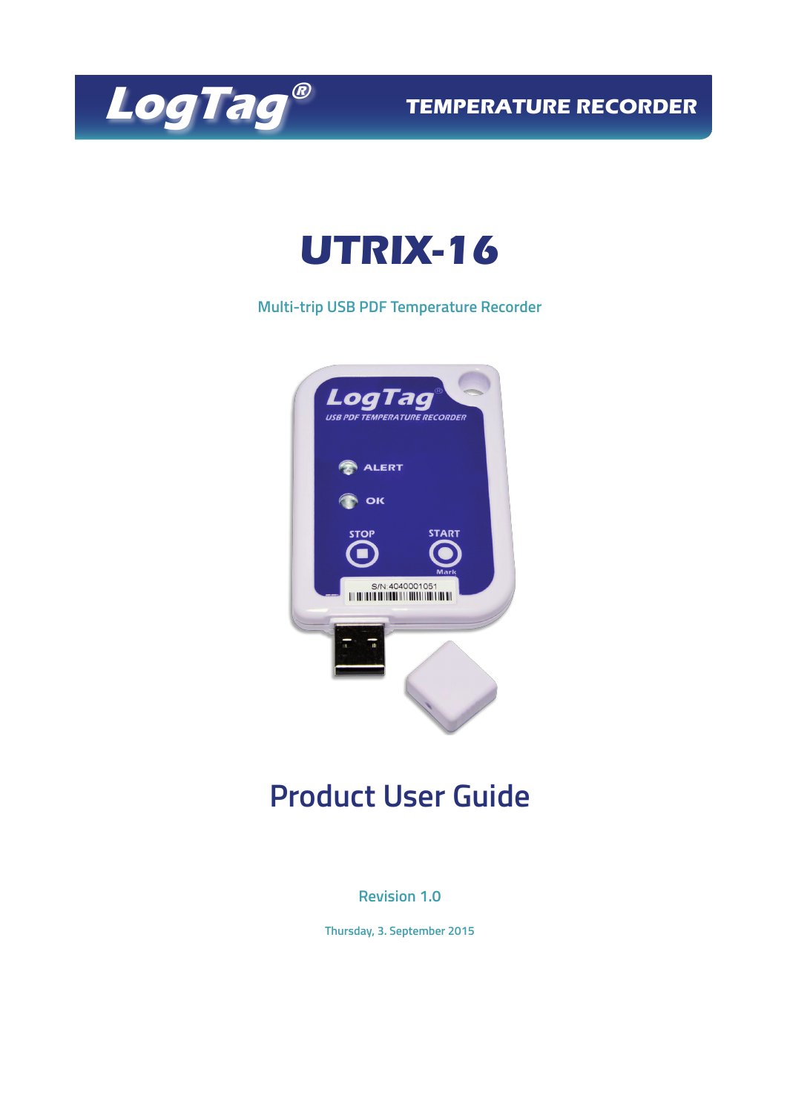

**TEMPERATURE RECORDER**

# **UTRIX-16**

**Multi-trip USB PDF Temperature Recorder**



## **Product User Guide**

### **Revision 1.0**

**Thursday, 3. September 2015**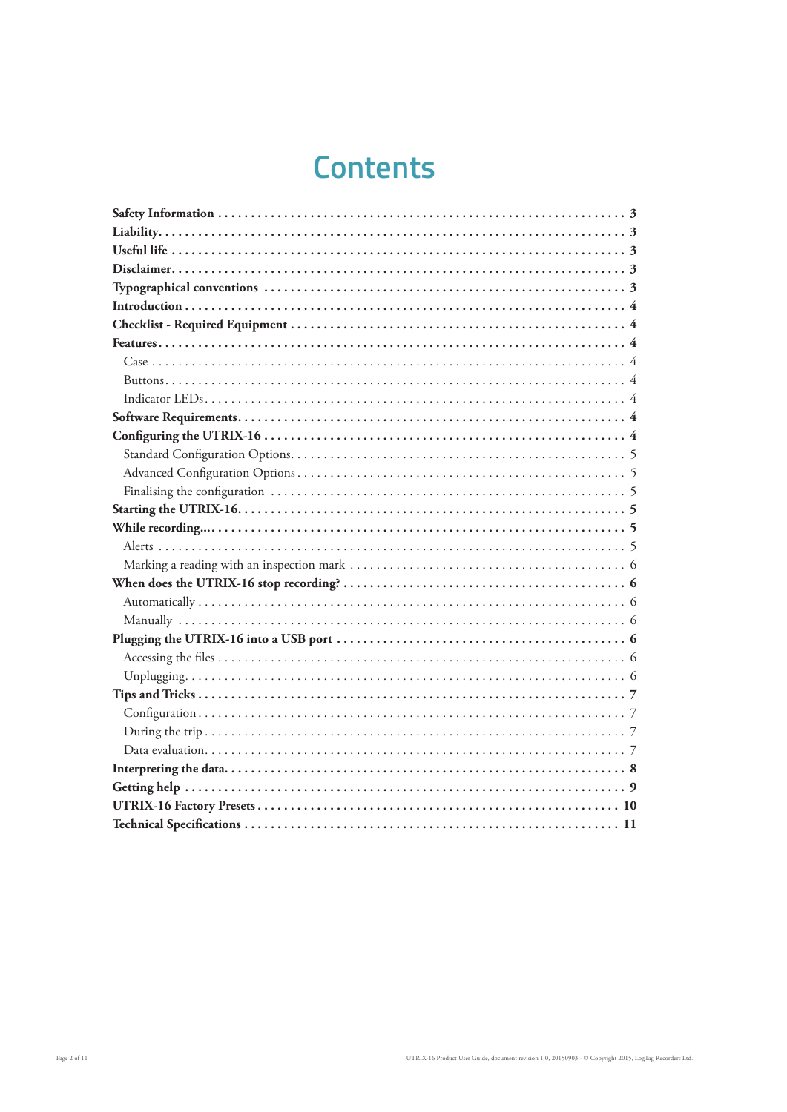## **Contents**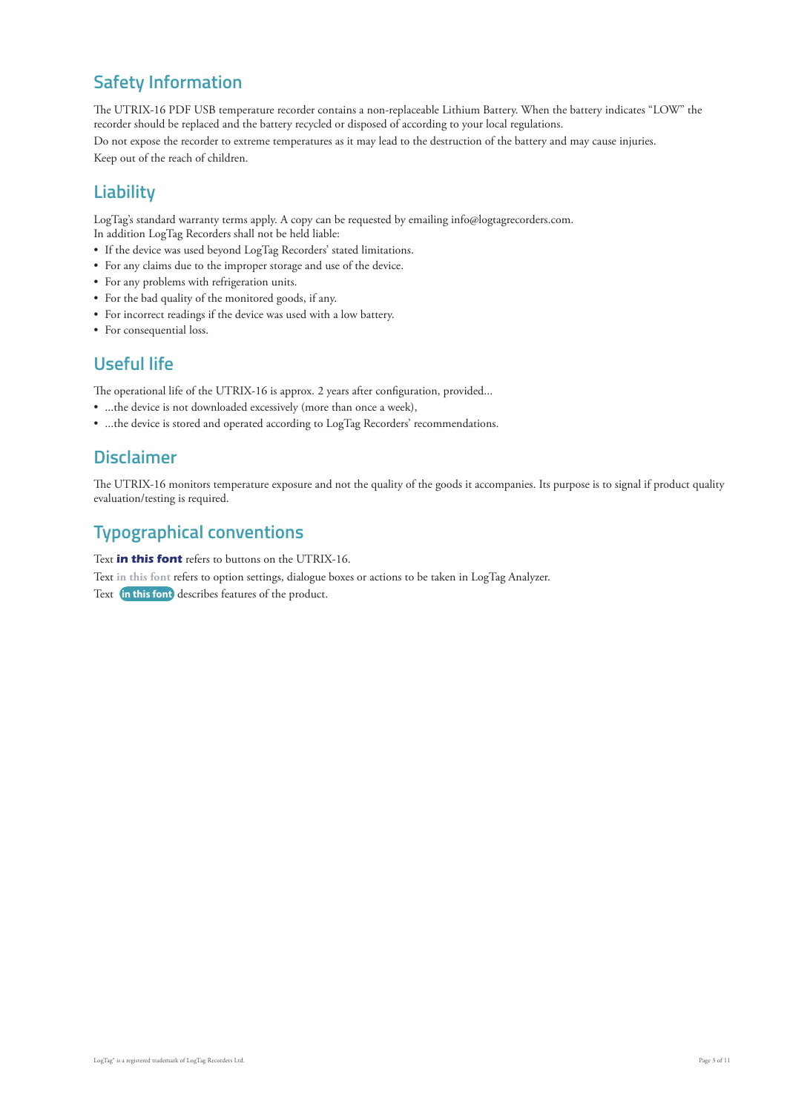## **Safety Information**

The UTRIX-16 PDF USB temperature recorder contains a non-replaceable Lithium Battery. When the battery indicates "LOW" the recorder should be replaced and the battery recycled or disposed of according to your local regulations.

Do not expose the recorder to extreme temperatures as it may lead to the destruction of the battery and may cause injuries.

Keep out of the reach of children.

### **Liability**

LogTag's standard warranty terms apply. A copy can be requested by emailing info@logtagrecorders.com.

- In addition LogTag Recorders shall not be held liable:
- If the device was used beyond LogTag Recorders' stated limitations.
- For any claims due to the improper storage and use of the device.
- For any problems with refrigeration units.
- For the bad quality of the monitored goods, if any.
- For incorrect readings if the device was used with a low battery.
- For consequential loss.

### **Useful life**

The operational life of the UTRIX-16 is approx. 2 years after configuration, provided...

- ...the device is not downloaded excessively (more than once a week),
- ...the device is stored and operated according to LogTag Recorders' recommendations.

### **Disclaimer**

The UTRIX-16 monitors temperature exposure and not the quality of the goods it accompanies. Its purpose is to signal if product quality evaluation/testing is required.

## **Typographical conventions**

Text **in this font** refers to buttons on the UTRIX-16. Text **in this font** refers to option settings, dialogue boxes or actions to be taken in LogTag Analyzer. Text **in this font** describes features of the product.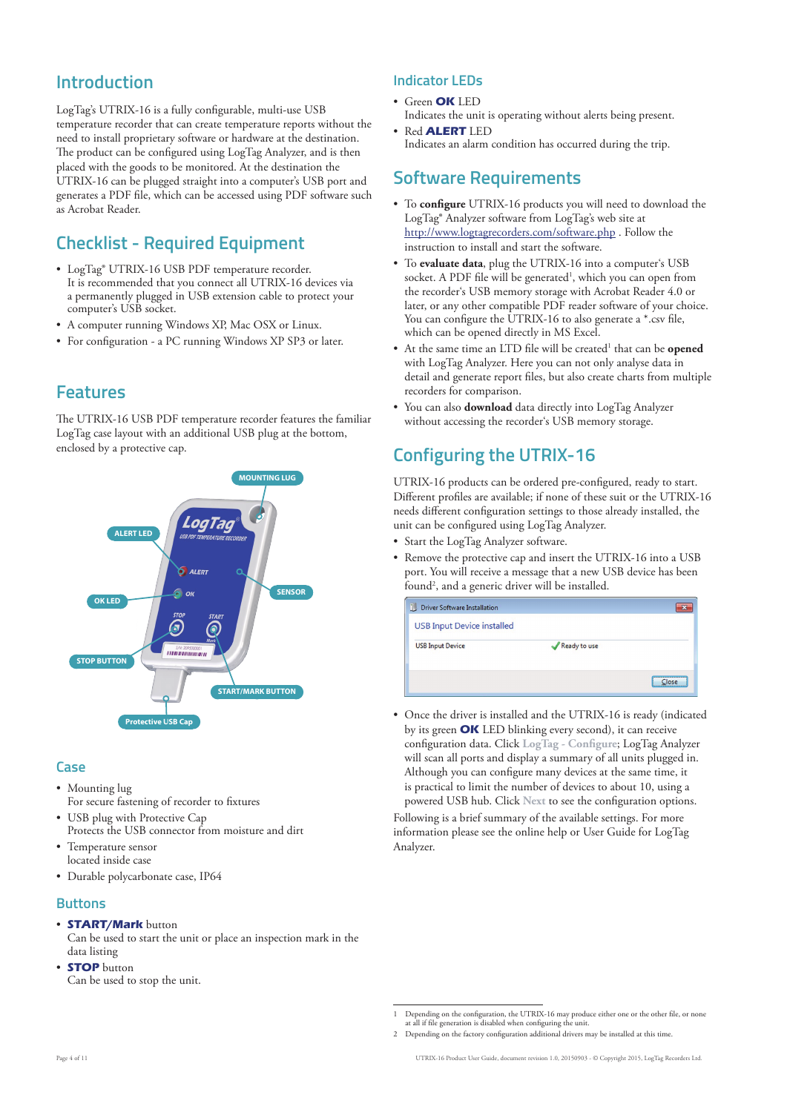### **Introduction**

LogTag's UTRIX-16 is a fully configurable, multi-use USB temperature recorder that can create temperature reports without the need to install proprietary software or hardware at the destination. The product can be configured using LogTag Analyzer, and is then placed with the goods to be monitored. At the destination the UTRIX-16 can be plugged straight into a computer's USB port and generates a PDF file, which can be accessed using PDF software such as Acrobat Reader.

### **Checklist - Required Equipment**

- LogTag® UTRIX-16 USB PDF temperature recorder. It is recommended that you connect all UTRIX-16 devices via a permanently plugged in USB extension cable to protect your computer's USB socket.
- A computer running Windows XP, Mac OSX or Linux.
- For configuration a PC running Windows XP SP3 or later.

### **Features**

The UTRIX-16 USB PDF temperature recorder features the familiar LogTag case layout with an additional USB plug at the bottom, enclosed by a protective cap.



#### **Case**

- Mounting lug For secure fastening of recorder to fixtures
- USB plug with Protective Cap Protects the USB connector from moisture and dirt
- Temperature sensor located inside case
- Durable polycarbonate case, IP64

#### **Buttons**

- **START/Mark** button
- Can be used to start the unit or place an inspection mark in the data listing
- **STOP** button Can be used to stop the unit.

#### **Indicator LEDs**

• Green **OK** LED Indicates the unit is operating without alerts being present.

• Red **ALERT** LED Indicates an alarm condition has occurred during the trip.

### **Software Requirements**

- To **configure** UTRIX-16 products you will need to download the LogTag® Analyzer software from LogTag's web site at http://www.logtagrecorders.com/software.php . Follow the instruction to install and start the software.
- To **evaluate data**, plug the UTRIX-16 into a computer's USB socket. A PDF file will be generated<sup>1</sup>, which you can open from the recorder's USB memory storage with Acrobat Reader 4.0 or later, or any other compatible PDF reader software of your choice. You can configure the UTRIX-16 to also generate a \*.csv file, which can be opened directly in MS Excel.
- At the same time an LTD file will be created<sup>1</sup> that can be **opened** with LogTag Analyzer. Here you can not only analyse data in detail and generate report files, but also create charts from multiple recorders for comparison.
- You can also **download** data directly into LogTag Analyzer without accessing the recorder's USB memory storage.

### **Configuring the UTRIX-16**

UTRIX-16 products can be ordered pre-configured, ready to start. Different profiles are available; if none of these suit or the UTRIX-16 needs different configuration settings to those already installed, the unit can be configured using LogTag Analyzer.

- Start the LogTag Analyzer software.
- Remove the protective cap and insert the UTRIX-16 into a USB port. You will receive a message that a new USB device has been found2 , and a generic driver will be installed.

| Driver Software Installation      |              |       |
|-----------------------------------|--------------|-------|
| <b>USB Input Device installed</b> |              |       |
| <b>USB Input Device</b>           | Ready to use |       |
|                                   |              | Close |

• Once the driver is installed and the UTRIX-16 is ready (indicated by its green **OK** LED blinking every second), it can receive configuration data. Click **LogTag - Configure**; LogTag Analyzer will scan all ports and display a summary of all units plugged in. Although you can configure many devices at the same time, it is practical to limit the number of devices to about 10, using a powered USB hub. Click **Next** to see the configuration options. Following is a brief summary of the available settings. For more information please see the online help or User Guide for LogTag Analyzer.

<sup>1</sup> Depending on the configuration, the UTRIX-16 may produce either one or the other file, or none at all if file generation is disabled when configuring the unit.

<sup>2</sup> Depending on the factory configuration additional drivers may be installed at this time.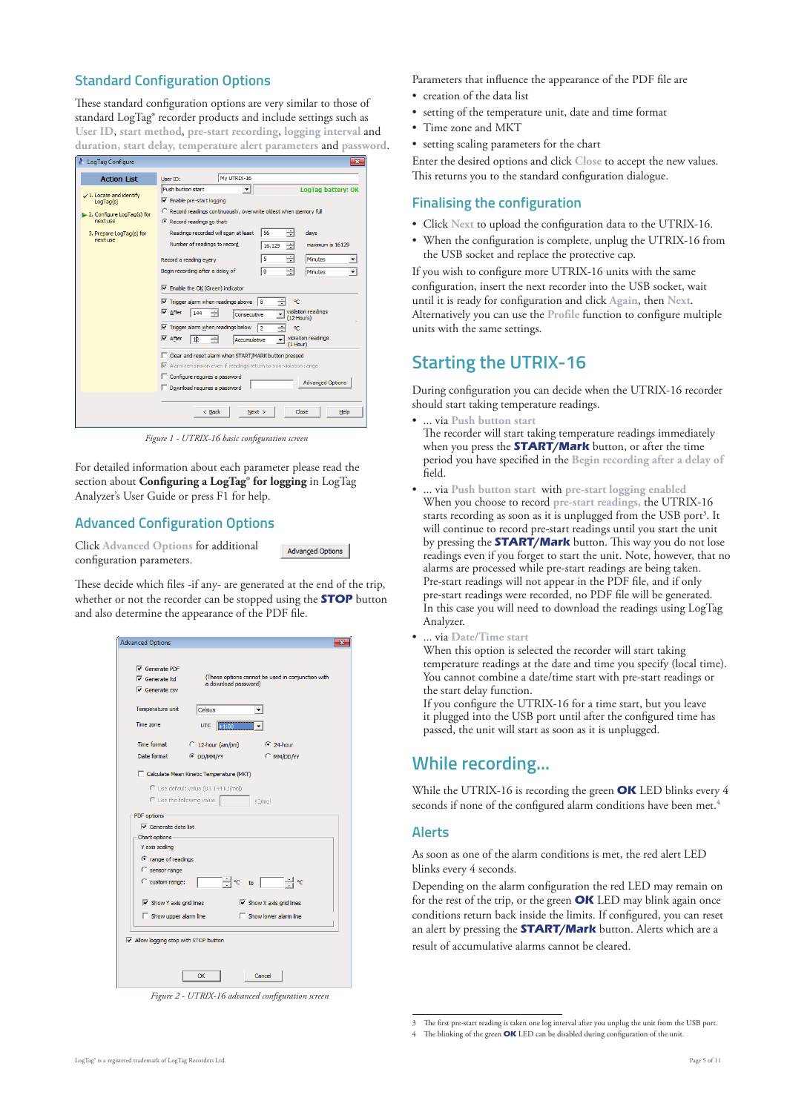#### **Standard Configuration Options**

These standard configuration options are very similar to those of standard LogTag® recorder products and include settings such as **User ID**, **start method**, **pre-start recording**, **logging interval** and **duration, start delay, temperature alert parameters** and **password**.



*Figure 1 - UTRIX-16 basic configuration screen*

For detailed information about each parameter please read the section about **Configuring a LogTag® for logging** in LogTag Analyzer's User Guide or press F1 for help.

#### **Advanced Configuration Options**

Click **Advanced Options** for additional configuration parameters.

These decide which files -if any- are generated at the end of the trip, whether or not the recorder can be stopped using the **STOP** button and also determine the appearance of the PDF file.

**Advanced Options** 

| <b>Advanced Options</b>                      |                                          |                                                   |  |
|----------------------------------------------|------------------------------------------|---------------------------------------------------|--|
|                                              |                                          |                                                   |  |
| Generate PDF                                 |                                          | (These options cannot be used in conjunction with |  |
| $\overline{\mathsf{v}}$ Generate ltd         | a download password)                     |                                                   |  |
| $\overline{\mathsf{v}}$ Generate csv         |                                          |                                                   |  |
| Temperature unit                             | Celsius                                  |                                                   |  |
| Time zone                                    | <b>UTC</b><br>$+1:00$                    |                                                   |  |
| Time format                                  | $C$ 12-hour (am/pm)                      | $624$ -hour                                       |  |
| Date format                                  | <b>E DD/MM/YY</b>                        | C MM/DD/YY                                        |  |
|                                              | Calculate Mean Kinetic Temperature (MKT) |                                                   |  |
|                                              | C Use default value (83.144 KJ/mol)      |                                                   |  |
|                                              |                                          |                                                   |  |
|                                              | C Use the following value                | KJ/mol                                            |  |
| PDF options                                  |                                          |                                                   |  |
| $\nabla$ Generate data list                  |                                          |                                                   |  |
| Chart options -                              |                                          |                                                   |  |
| Y axis scaling                               |                                          |                                                   |  |
| <sup>C</sup> range of readings               |                                          |                                                   |  |
| C sensor range                               |                                          |                                                   |  |
| C custom range:                              |                                          | $\div$ $\circ$ to $\Box$                          |  |
| $\nabla$ Show Y axis grid lines              |                                          | $\overline{\vee}$ Show X axis grid lines          |  |
| $\Box$ Show upper alarm line                 |                                          | $\Box$ Show lower alarm line                      |  |
|                                              |                                          |                                                   |  |
| $\nabla$ Allow logging stop with STOP button |                                          |                                                   |  |
|                                              |                                          |                                                   |  |
|                                              |                                          |                                                   |  |
|                                              | OK                                       | Cancel                                            |  |

*Figure 2 - UTRIX-16 advanced configuration screen*

Parameters that influence the appearance of the PDF file are

- creation of the data list
- setting of the temperature unit, date and time format
- Time zone and MKT
- setting scaling parameters for the chart

Enter the desired options and click **Close** to accept the new values. This returns you to the standard configuration dialogue.

#### **Finalising the configuration**

- Click **Next** to upload the configuration data to the UTRIX-16.
- When the configuration is complete, unplug the UTRIX-16 from the USB socket and replace the protective cap.

If you wish to configure more UTRIX-16 units with the same configuration, insert the next recorder into the USB socket, wait until it is ready for configuration and click **Again**, then **Next**. Alternatively you can use the **Profile** function to configure multiple units with the same settings.

### **Starting the UTRIX-16**

During configuration you can decide when the UTRIX-16 recorder should start taking temperature readings.

• ... via **Push button start**

The recorder will start taking temperature readings immediately when you press the **START/Mark** button, or after the time period you have specified in the **Begin recording after a delay of** field.

- ... via **Push button start** with **pre-start logging enabled** When you choose to record **pre-start readings,** the UTRIX-16 starts recording as soon as it is unplugged from the USB port<sup>3</sup>. It will continue to record pre-start readings until you start the unit by pressing the **START/Mark** button. This way you do not lose readings even if you forget to start the unit. Note, however, that no alarms are processed while pre-start readings are being taken. Pre-start readings will not appear in the PDF file, and if only pre-start readings were recorded, no PDF file will be generated. In this case you will need to download the readings using LogTag Analyzer.
- ... via **Date/Time start**

When this option is selected the recorder will start taking temperature readings at the date and time you specify (local time). You cannot combine a date/time start with pre-start readings or the start delay function.

If you configure the UTRIX-16 for a time start, but you leave it plugged into the USB port until after the configured time has passed, the unit will start as soon as it is unplugged.

### **While recording...**

While the UTRIX-16 is recording the green **OK** LED blinks every 4 seconds if none of the configured alarm conditions have been met.<sup>4</sup>

#### **Alerts**

As soon as one of the alarm conditions is met, the red alert LED blinks every 4 seconds.

Depending on the alarm configuration the red LED may remain on for the rest of the trip, or the green **OK** LED may blink again once conditions return back inside the limits. If configured, you can reset an alert by pressing the **START/Mark** button. Alerts which are a result of accumulative alarms cannot be cleared.

<sup>3</sup> The first pre-start reading is taken one log interval after you unplug the unit from the USB port.

<sup>4</sup> The blinking of the green **OK** LED can be disabled during configuration of the unit.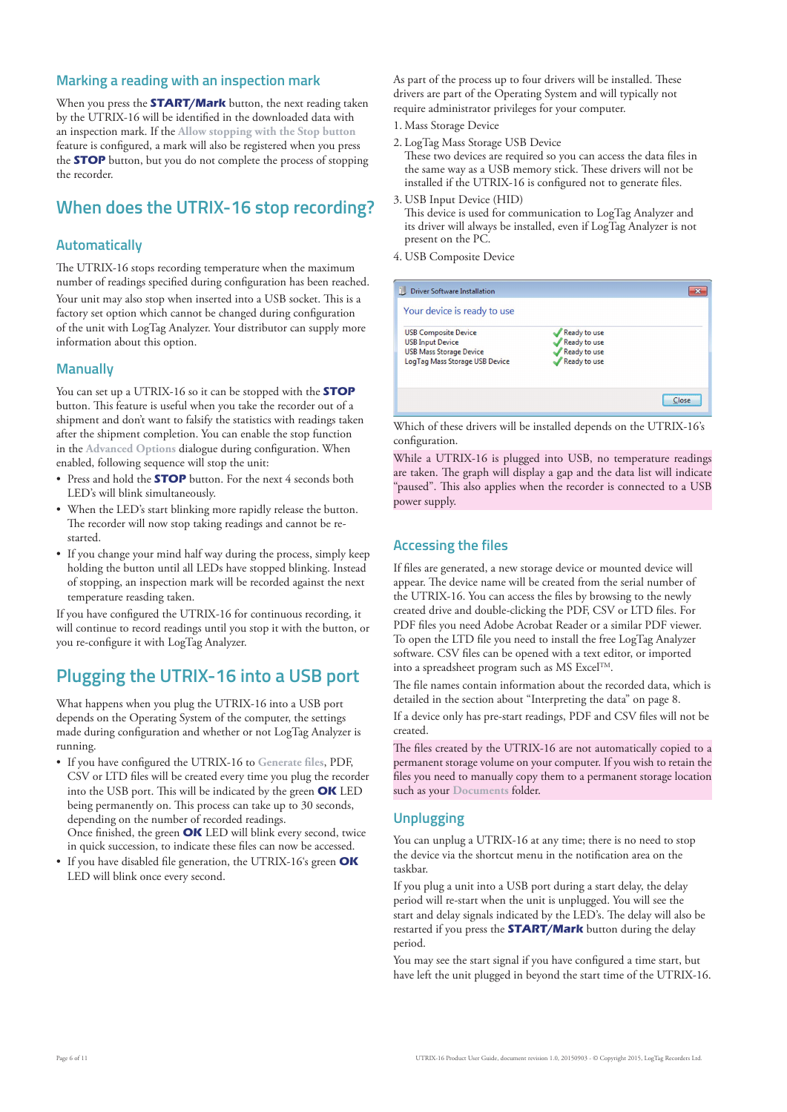#### **Marking a reading with an inspection mark**

When you press the **START/Mark** button, the next reading taken by the UTRIX-16 will be identified in the downloaded data with an inspection mark. If the **Allow stopping with the Stop button** feature is configured, a mark will also be registered when you press the **STOP** button, but you do not complete the process of stopping the recorder.

### **When does the UTRIX-16 stop recording?**

#### **Automatically**

The UTRIX-16 stops recording temperature when the maximum number of readings specified during configuration has been reached. Your unit may also stop when inserted into a USB socket. This is a factory set option which cannot be changed during configuration of the unit with LogTag Analyzer. Your distributor can supply more information about this option.

#### **Manually**

You can set up a UTRIX-16 so it can be stopped with the **STOP** button. This feature is useful when you take the recorder out of a shipment and don't want to falsify the statistics with readings taken after the shipment completion. You can enable the stop function in the **Advanced Options** dialogue during configuration. When enabled, following sequence will stop the unit:

- Press and hold the **STOP** button. For the next 4 seconds both LED's will blink simultaneously.
- When the LED's start blinking more rapidly release the button. The recorder will now stop taking readings and cannot be restarted.
- If you change your mind half way during the process, simply keep holding the button until all LEDs have stopped blinking. Instead of stopping, an inspection mark will be recorded against the next temperature reasding taken.

If you have configured the UTRIX-16 for continuous recording, it will continue to record readings until you stop it with the button, or you re-configure it with LogTag Analyzer.

### **Plugging the UTRIX-16 into a USB port**

What happens when you plug the UTRIX-16 into a USB port depends on the Operating System of the computer, the settings made during configuration and whether or not LogTag Analyzer is running.

- If you have configured the UTRIX-16 to **Generate files**, PDF, CSV or LTD files will be created every time you plug the recorder into the USB port. This will be indicated by the green **OK** LED being permanently on. This process can take up to 30 seconds, depending on the number of recorded readings. Once finished, the green **OK** LED will blink every second, twice in quick succession, to indicate these files can now be accessed.
- If you have disabled file generation, the UTRIX-16's green **OK** LED will blink once every second.

As part of the process up to four drivers will be installed. These drivers are part of the Operating System and will typically not require administrator privileges for your computer.

- 1. Mass Storage Device
- 2. LogTag Mass Storage USB Device
- These two devices are required so you can access the data files in the same way as a USB memory stick. These drivers will not be installed if the UTRIX-16 is configured not to generate files.
- 3. USB Input Device (HID) This device is used for communication to LogTag Analyzer and its driver will always be installed, even if LogTag Analyzer is not present on the PC.
- 4. USB Composite Device

| <b>Driver Software Installation</b>                                                                                        |                                                              |       |
|----------------------------------------------------------------------------------------------------------------------------|--------------------------------------------------------------|-------|
| Your device is ready to use                                                                                                |                                                              |       |
| <b>USB Composite Device</b><br><b>USB Input Device</b><br><b>USB Mass Storage Device</b><br>LogTag Mass Storage USB Device | Ready to use<br>Ready to use<br>Ready to use<br>Ready to use |       |
|                                                                                                                            |                                                              | Close |

Which of these drivers will be installed depends on the UTRIX-16's configuration.

While a UTRIX-16 is plugged into USB, no temperature readings are taken. The graph will display a gap and the data list will indicate "paused". This also applies when the recorder is connected to a USB power supply.

#### **Accessing the files**

If files are generated, a new storage device or mounted device will appear. The device name will be created from the serial number of the UTRIX-16. You can access the files by browsing to the newly created drive and double-clicking the PDF, CSV or LTD files. For PDF files you need Adobe Acrobat Reader or a similar PDF viewer. To open the LTD file you need to install the free LogTag Analyzer software. CSV files can be opened with a text editor, or imported into a spreadsheet program such as MS ExcelTM.

The file names contain information about the recorded data, which is detailed in the section about "Interpreting the data" on page 8.

If a device only has pre-start readings, PDF and CSV files will not be created.

The files created by the UTRIX-16 are not automatically copied to a permanent storage volume on your computer. If you wish to retain the files you need to manually copy them to a permanent storage location such as your **Documents** folder.

#### **Unplugging**

You can unplug a UTRIX-16 at any time; there is no need to stop the device via the shortcut menu in the notification area on the taskbar.

If you plug a unit into a USB port during a start delay, the delay period will re-start when the unit is unplugged. You will see the start and delay signals indicated by the LED's. The delay will also be restarted if you press the **START/Mark** button during the delay period.

You may see the start signal if you have configured a time start, but have left the unit plugged in beyond the start time of the UTRIX-16.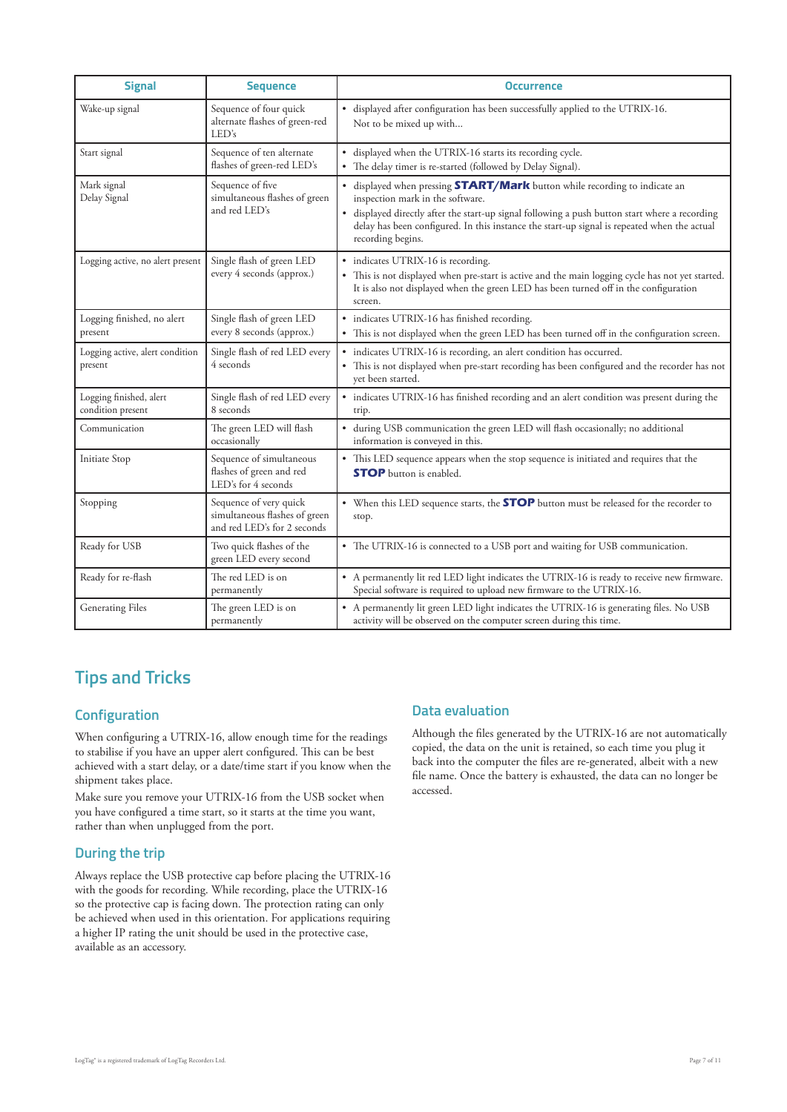| <b>Signal</b>                                | <b>Sequence</b>                                                                        | <b>Occurrence</b>                                                                                                                                                                                                                                                                                                                           |
|----------------------------------------------|----------------------------------------------------------------------------------------|---------------------------------------------------------------------------------------------------------------------------------------------------------------------------------------------------------------------------------------------------------------------------------------------------------------------------------------------|
| Wake-up signal                               | Sequence of four quick<br>alternate flashes of green-red<br>LED's                      | · displayed after configuration has been successfully applied to the UTRIX-16.<br>Not to be mixed up with                                                                                                                                                                                                                                   |
| Start signal                                 | Sequence of ten alternate<br>flashes of green-red LED's                                | • displayed when the UTRIX-16 starts its recording cycle.<br>• The delay timer is re-started (followed by Delay Signal).                                                                                                                                                                                                                    |
| Mark signal<br>Delay Signal                  | Sequence of five<br>simultaneous flashes of green<br>and red LED's                     | • displayed when pressing <b>START/Mark</b> button while recording to indicate an<br>inspection mark in the software.<br>• displayed directly after the start-up signal following a push button start where a recording<br>delay has been configured. In this instance the start-up signal is repeated when the actual<br>recording begins. |
| Logging active, no alert present             | Single flash of green LED<br>every 4 seconds (approx.)                                 | • indicates UTRIX-16 is recording.<br>• This is not displayed when pre-start is active and the main logging cycle has not yet started.<br>It is also not displayed when the green LED has been turned off in the configuration<br>screen.                                                                                                   |
| Logging finished, no alert<br>present        | Single flash of green LED<br>every 8 seconds (approx.)                                 | · indicates UTRIX-16 has finished recording.<br>• This is not displayed when the green LED has been turned off in the configuration screen.                                                                                                                                                                                                 |
| Logging active, alert condition<br>present   | Single flash of red LED every<br>4 seconds                                             | · indicates UTRIX-16 is recording, an alert condition has occurred.<br>• This is not displayed when pre-start recording has been configured and the recorder has not<br>yet been started.                                                                                                                                                   |
| Logging finished, alert<br>condition present | Single flash of red LED every<br>8 seconds                                             | • indicates UTRIX-16 has finished recording and an alert condition was present during the<br>trip.                                                                                                                                                                                                                                          |
| Communication                                | The green LED will flash<br>occasionally                                               | • during USB communication the green LED will flash occasionally; no additional<br>information is conveyed in this.                                                                                                                                                                                                                         |
| Initiate Stop                                | Sequence of simultaneous<br>flashes of green and red<br>LED's for 4 seconds            | • This LED sequence appears when the stop sequence is initiated and requires that the<br><b>STOP</b> button is enabled.                                                                                                                                                                                                                     |
| Stopping                                     | Sequence of very quick<br>simultaneous flashes of green<br>and red LED's for 2 seconds | • When this LED sequence starts, the <b>STOP</b> button must be released for the recorder to<br>stop.                                                                                                                                                                                                                                       |
| Ready for USB                                | Two quick flashes of the<br>green LED every second                                     | • The UTRIX-16 is connected to a USB port and waiting for USB communication.                                                                                                                                                                                                                                                                |
| Ready for re-flash                           | The red LED is on<br>permanently                                                       | • A permanently lit red LED light indicates the UTRIX-16 is ready to receive new firmware.<br>Special software is required to upload new firmware to the UTRIX-16.                                                                                                                                                                          |
| <b>Generating Files</b>                      | The green LED is on<br>permanently                                                     | • A permanently lit green LED light indicates the UTRIX-16 is generating files. No USB<br>activity will be observed on the computer screen during this time.                                                                                                                                                                                |

### **Tips and Tricks**

### **Configuration**

When configuring a UTRIX-16, allow enough time for the readings to stabilise if you have an upper alert configured. This can be best achieved with a start delay, or a date/time start if you know when the shipment takes place.

Make sure you remove your UTRIX-16 from the USB socket when you have configured a time start, so it starts at the time you want, rather than when unplugged from the port.

### **During the trip**

Always replace the USB protective cap before placing the UTRIX-16 with the goods for recording. While recording, place the UTRIX-16 so the protective cap is facing down. The protection rating can only be achieved when used in this orientation. For applications requiring a higher IP rating the unit should be used in the protective case, available as an accessory.

### **Data evaluation**

Although the files generated by the UTRIX-16 are not automatically copied, the data on the unit is retained, so each time you plug it back into the computer the files are re-generated, albeit with a new file name. Once the battery is exhausted, the data can no longer be accessed.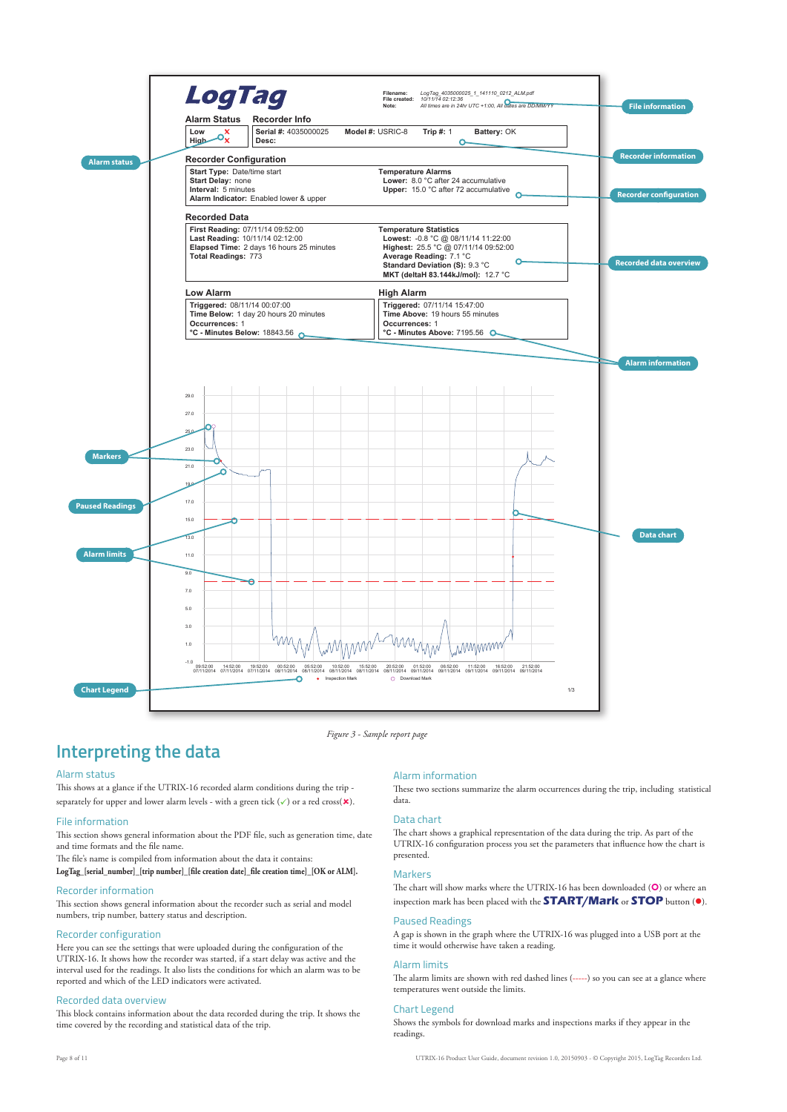

*Figure 3 - Sample report page*

### **Interpreting the data**

#### Alarm status

This shows at a glance if the UTRIX-16 recorded alarm conditions during the trip separately for upper and lower alarm levels - with a green tick  $(\checkmark)$  or a red cross( $\mathbf{\star}$ ).

#### File information

This section shows general information about the PDF file, such as generation time, date and time formats and the file name.

The file's name is compiled from information about the data it contains:

**LogTag\_[serial\_number]\_[trip number]\_[file creation date]\_file creation time]\_[OK or ALM].**

#### Recorder information

This section shows general information about the recorder such as serial and model numbers, trip number, battery status and description.

#### Recorder configuration

Here you can see the settings that were uploaded during the configuration of the UTRIX-16. It shows how the recorder was started, if a start delay was active and the interval used for the readings. It also lists the conditions for which an alarm was to be reported and which of the LED indicators were activated.

#### Recorded data overview

This block contains information about the data recorded during the trip. It shows the time covered by the recording and statistical data of the trip.

#### Alarm information

These two sections summarize the alarm occurrences during the trip, including statistical data.

#### Data chart

The chart shows a graphical representation of the data during the trip. As part of the UTRIX-16 configuration process you set the parameters that influence how the chart is presented.

#### **Markers**

The chart will show marks where the UTRIX-16 has been downloaded  $(\bullet)$  or where an inspection mark has been placed with the **START/Mark** or **STOP** button ().

#### Paused Readings

A gap is shown in the graph where the UTRIX-16 was plugged into a USB port at the time it would otherwise have taken a reading.

#### Alarm limits

The alarm limits are shown with red dashed lines (-----) so you can see at a glance where temperatures went outside the limits.

#### Chart Legend

Shows the symbols for download marks and inspections marks if they appear in the readings.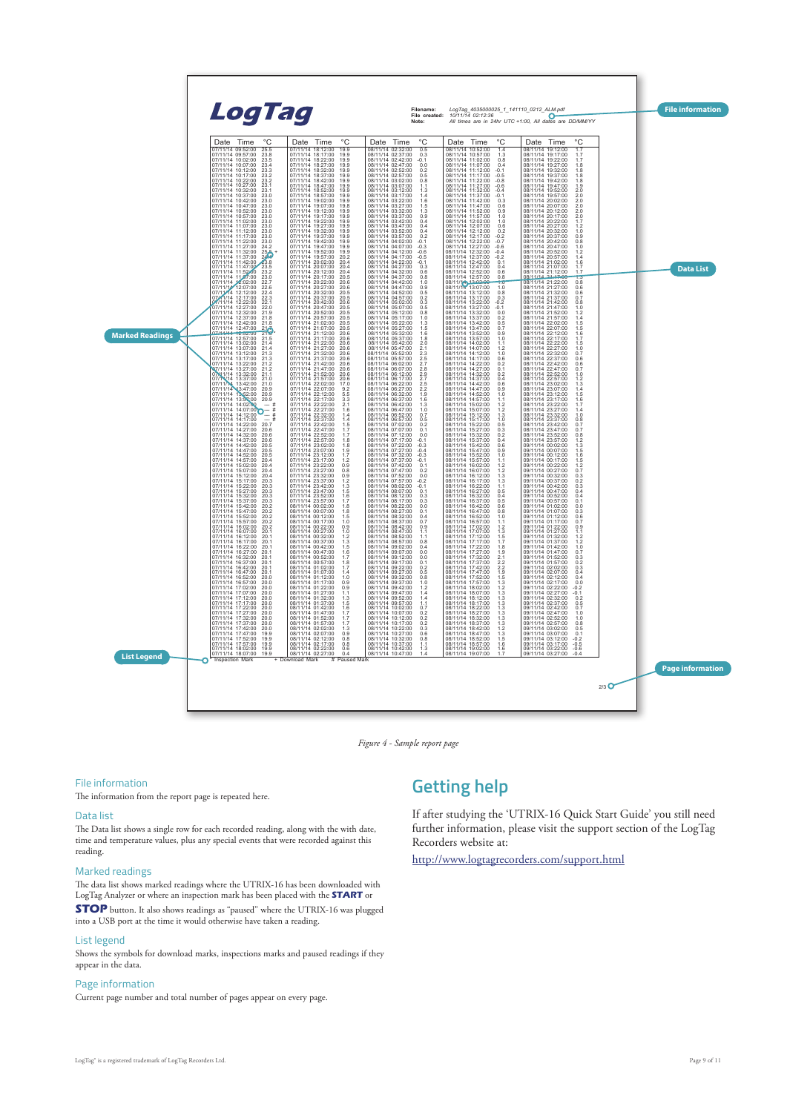

*Figure 4 - Sample report page*

#### File information

The information from the report page is repeated here.

#### Data list

The Data list shows a single row for each recorded reading, along with the with date, time and temperature values, plus any special events that were recorded against this reading.

#### Marked readings

The data list shows marked readings where the UTRIX-16 has been downloaded with LogTag Analyzer or where an inspection mark has been placed with the **START** or

**STOP** button. It also shows readings as "paused" where the UTRIX-16 was plugged into a USB port at the time it would otherwise have taken a reading.

#### List legend

Shows the symbols for download marks, inspections marks and paused readings if they appear in the data.

#### Page information

Current page number and total number of pages appear on every page.

### **Getting help**

If after studying the 'UTRIX-16 Quick Start Guide' you still need further information, please visit the support section of the LogTag Recorders website at:

http://www.logtagrecorders.com/support.html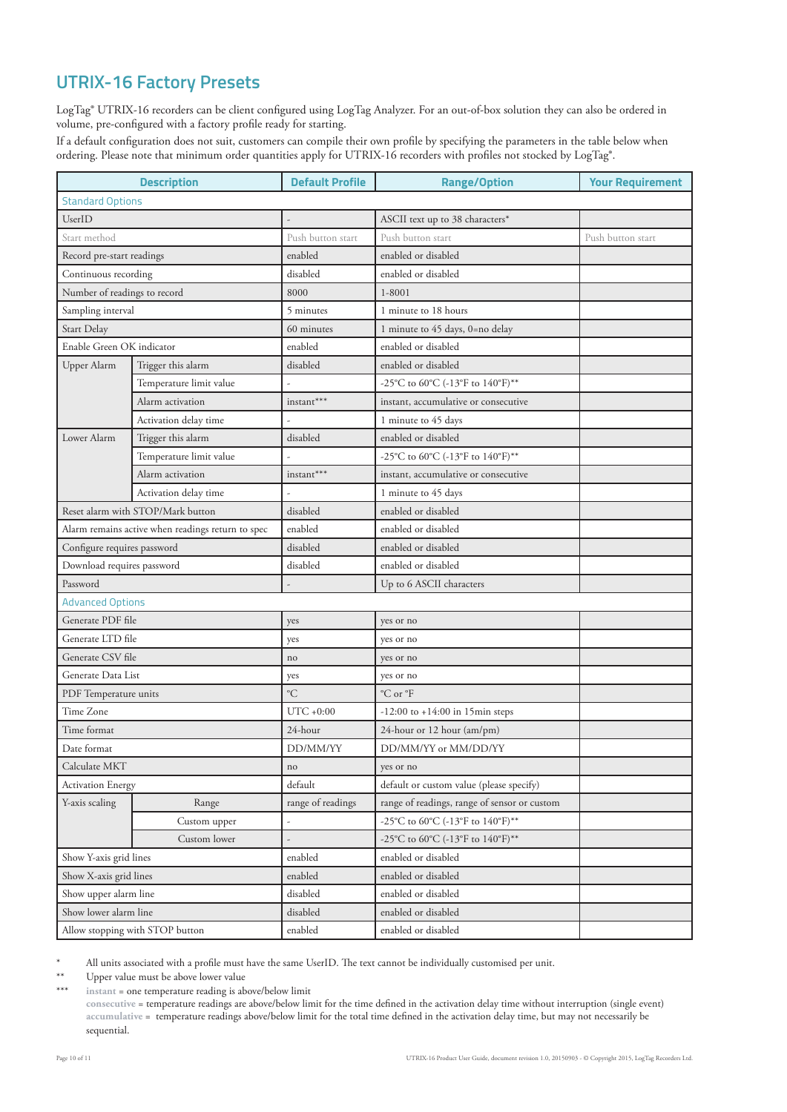### **UTRIX-16 Factory Presets**

LogTag® UTRIX-16 recorders can be client configured using LogTag Analyzer. For an out-of-box solution they can also be ordered in volume, pre-configured with a factory profile ready for starting.

If a default configuration does not suit, customers can compile their own profile by specifying the parameters in the table below when ordering. Please note that minimum order quantities apply for UTRIX-16 recorders with profiles not stocked by LogTag<sup>®</sup>.

| <b>Description</b>                                |                                   | <b>Default Profile</b>   | <b>Range/Option</b>                          | <b>Your Requirement</b> |
|---------------------------------------------------|-----------------------------------|--------------------------|----------------------------------------------|-------------------------|
| <b>Standard Options</b>                           |                                   |                          |                                              |                         |
| UserID                                            |                                   |                          | ASCII text up to 38 characters*              |                         |
| Start method                                      |                                   | Push button start        | Push button start                            | Push button start       |
| Record pre-start readings                         |                                   | enabled                  | enabled or disabled                          |                         |
| Continuous recording                              |                                   | disabled                 | enabled or disabled                          |                         |
| Number of readings to record                      |                                   | 8000                     | $1 - 8001$                                   |                         |
| Sampling interval                                 |                                   | 5 minutes                | 1 minute to 18 hours                         |                         |
| Start Delay                                       |                                   | 60 minutes               | 1 minute to 45 days, 0=no delay              |                         |
| Enable Green OK indicator                         |                                   | enabled                  | enabled or disabled                          |                         |
| Upper Alarm                                       | Trigger this alarm                | disabled                 | enabled or disabled                          |                         |
|                                                   | Temperature limit value           |                          | -25°C to 60°C (-13°F to 140°F)**             |                         |
|                                                   | Alarm activation                  | instant***               | instant, accumulative or consecutive         |                         |
|                                                   | Activation delay time             |                          | 1 minute to 45 days                          |                         |
| Lower Alarm                                       | Trigger this alarm                | disabled                 | enabled or disabled                          |                         |
|                                                   | Temperature limit value           |                          | -25°C to 60°C (-13°F to 140°F)**             |                         |
|                                                   | Alarm activation                  | $\mathrm{instant}^{***}$ | instant, accumulative or consecutive         |                         |
|                                                   | Activation delay time             |                          | 1 minute to 45 days                          |                         |
|                                                   | Reset alarm with STOP/Mark button | disabled                 | enabled or disabled                          |                         |
| Alarm remains active when readings return to spec |                                   | enabled                  | enabled or disabled                          |                         |
| Configure requires password                       |                                   | disabled                 | enabled or disabled                          |                         |
| Download requires password                        |                                   | disabled                 | enabled or disabled                          |                         |
| Password                                          |                                   |                          | Up to 6 ASCII characters                     |                         |
| <b>Advanced Options</b>                           |                                   |                          |                                              |                         |
| Generate PDF file                                 |                                   | yes                      | yes or no                                    |                         |
| Generate LTD file                                 |                                   | yes                      | yes or no                                    |                         |
| Generate CSV file                                 |                                   | no                       | yes or no                                    |                         |
| Generate Data List                                |                                   | yes                      | yes or no                                    |                         |
| PDF Temperature units                             |                                   | $^{\circ}C$              | $^{\circ}$ C or $^{\circ}$ F                 |                         |
| Time Zone                                         |                                   | $UTC + 0:00$             | $-12:00$ to $+14:00$ in 15min steps          |                         |
| Time format                                       |                                   | 24-hour                  | 24-hour or 12 hour (am/pm)                   |                         |
| Date format                                       |                                   | DD/MM/YY                 | DD/MM/YY or MM/DD/YY                         |                         |
| Calculate MKT                                     |                                   | $\rm no$                 | yes or no                                    |                         |
| <b>Activation Energy</b>                          |                                   | default                  | default or custom value (please specify)     |                         |
| Y-axis scaling                                    | Range                             | range of readings        | range of readings, range of sensor or custom |                         |
|                                                   | Custom upper                      |                          | -25°C to 60°C (-13°F to 140°F)**             |                         |
|                                                   | Custom lower                      |                          | -25°C to 60°C (-13°F to 140°F)**             |                         |
| Show Y-axis grid lines                            |                                   | enabled                  | enabled or disabled                          |                         |
| Show X-axis grid lines                            |                                   | enabled                  | enabled or disabled                          |                         |
| Show upper alarm line                             |                                   | disabled                 | enabled or disabled                          |                         |
| Show lower alarm line                             |                                   | disabled                 | enabled or disabled                          |                         |
| Allow stopping with STOP button                   |                                   | enabled                  | enabled or disabled                          |                         |

\* All units associated with a profile must have the same UserID. The text cannot be individually customised per unit.

\*\* Upper value must be above lower value

instant = one temperature reading is above/below limit

**consecutive** = temperature readings are above/below limit for the time defined in the activation delay time without interruption (single event) **accumulative** = temperature readings above/below limit for the total time defined in the activation delay time, but may not necessarily be sequential.